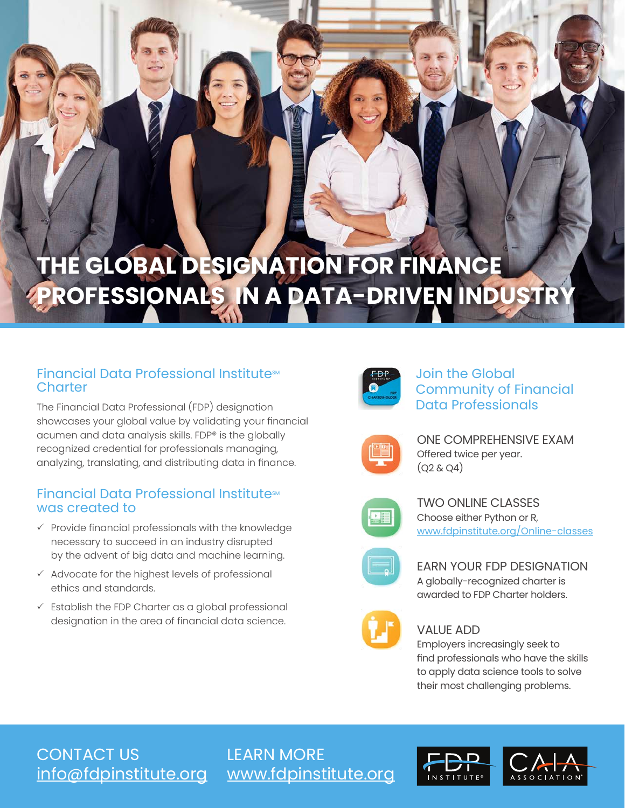# **THE GLOBAL DESIGNATION FOR FINANCE PROFESSIONALS IN A DATA-DRIVEN INDUSTRY**

# Financial Data Professional Institute<sup>SM</sup> **Charter**

The Financial Data Professional (FDP) designation showcases your global value by validating your financial acumen and data analysis skills. FDP® is the globally recognized credential for professionals managing, analyzing, translating, and distributing data in finance.

## Financial Data Professional Institute<sup>SM</sup> was created to

- $\checkmark$  Provide financial professionals with the knowledge necessary to succeed in an industry disrupted by the advent of big data and machine learning.
- $\checkmark$  Advocate for the highest levels of professional ethics and standards.
- $\checkmark$  Establish the FDP Charter as a global professional designation in the area of financial data science.



Join the Global Community of Financial Data Professionals



ONE COMPREHENSIVE EXAM Offered twice per year.  $(Q2 & Q4)$ 



TWO ONLINE CLASSES Choose either Python or R, [www.fdpinstitute.org/Online-classes](http://www.fdpinstitute.org/Online-classes)



EARN YOUR FDP DESIGNATION A globally-recognized charter is awarded to FDP Charter holders.



#### VALUE ADD

Employers increasingly seek to find professionals who have the skills to apply data science tools to solve their most challenging problems.

CONTACT US

[info@fdpinstitute.org](mailto:info%40fdpinstitute.org?subject=) [www.fdpinstitute.org](http://www.fdpinstitute.org) LEARN MORE